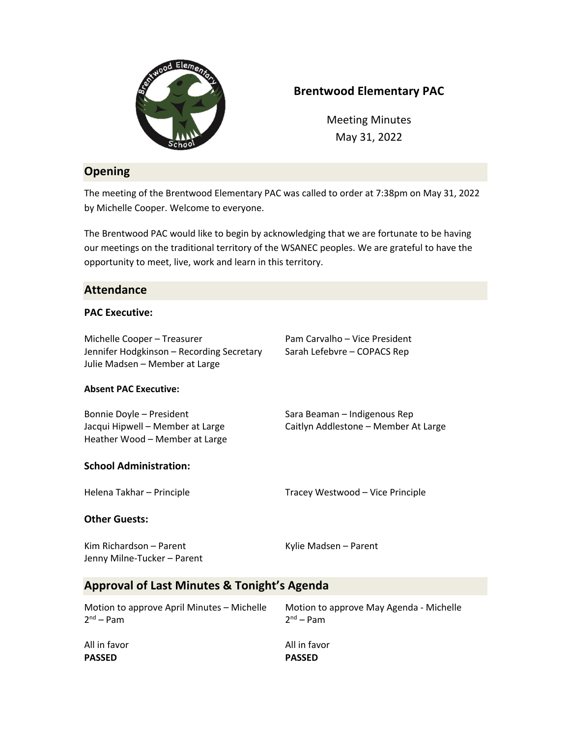

# **Brentwood Elementary PAC**

Meeting Minutes May 31, 2022

# **Opening**

The meeting of the Brentwood Elementary PAC was called to order at 7:38pm on May 31, 2022 by Michelle Cooper. Welcome to everyone.

The Brentwood PAC would like to begin by acknowledging that we are fortunate to be having our meetings on the traditional territory of the WSANEC peoples. We are grateful to have the opportunity to meet, live, work and learn in this territory.

## **Attendance**

#### **PAC Executive:**

Michelle Cooper – Treasurer Pam Carvalho – Vice President Jennifer Hodgkinson - Recording Secretary Sarah Lefebvre - COPACS Rep Julie Madsen – Member at Large

#### **Absent PAC Executive:**

Bonnie Doyle – President Sara Beaman – Indigenous Rep Jacqui Hipwell – Member at Large Caitlyn Addlestone – Member At Large Heather Wood – Member at Large

## **School Administration:**

Helena Takhar – Principle Tracey Westwood – Vice Principle

## **Other Guests:**

| Kim Richardson - Parent     | Kylie Madsen - Parent |
|-----------------------------|-----------------------|
| Jenny Milne-Tucker - Parent |                       |

## **Approval of Last Minutes & Tonight's Agenda**

| Motion to approve April Minutes – Michelle | Motion to approve May Agenda - Michelle |
|--------------------------------------------|-----------------------------------------|
| $2nd - Pam$                                | 2 <sup>nd</sup> – Pam                   |
| All in favor                               | All in favor                            |
| <b>PASSED</b>                              | <b>PASSED</b>                           |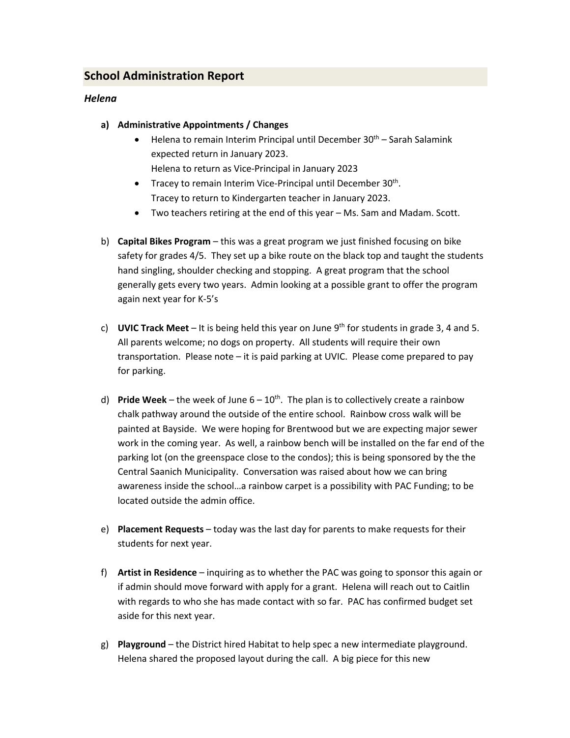# **School Administration Report**

#### *Helena*

- **a) Administrative Appointments / Changes**
	- Helena to remain Interim Principal until December  $30<sup>th</sup>$  Sarah Salamink expected return in January 2023. Helena to return as Vice-Principal in January 2023
	- Tracey to remain Interim Vice-Principal until December 30<sup>th</sup>. Tracey to return to Kindergarten teacher in January 2023.
	- Two teachers retiring at the end of this year Ms. Sam and Madam. Scott.
- b) **Capital Bikes Program** this was a great program we just finished focusing on bike safety for grades 4/5. They set up a bike route on the black top and taught the students hand singling, shoulder checking and stopping. A great program that the school generally gets every two years. Admin looking at a possible grant to offer the program again next year for K-5's
- c) **UVIC Track Meet** It is being held this year on June 9<sup>th</sup> for students in grade 3, 4 and 5. All parents welcome; no dogs on property. All students will require their own transportation. Please note – it is paid parking at UVIC. Please come prepared to pay for parking.
- d) **Pride Week** the week of June  $6 10^{th}$ . The plan is to collectively create a rainbow chalk pathway around the outside of the entire school. Rainbow cross walk will be painted at Bayside. We were hoping for Brentwood but we are expecting major sewer work in the coming year. As well, a rainbow bench will be installed on the far end of the parking lot (on the greenspace close to the condos); this is being sponsored by the the Central Saanich Municipality. Conversation was raised about how we can bring awareness inside the school…a rainbow carpet is a possibility with PAC Funding; to be located outside the admin office.
- e) **Placement Requests** today was the last day for parents to make requests for their students for next year.
- f) **Artist in Residence** inquiring as to whether the PAC was going to sponsor this again or if admin should move forward with apply for a grant. Helena will reach out to Caitlin with regards to who she has made contact with so far. PAC has confirmed budget set aside for this next year.
- g) **Playground**  the District hired Habitat to help spec a new intermediate playground. Helena shared the proposed layout during the call. A big piece for this new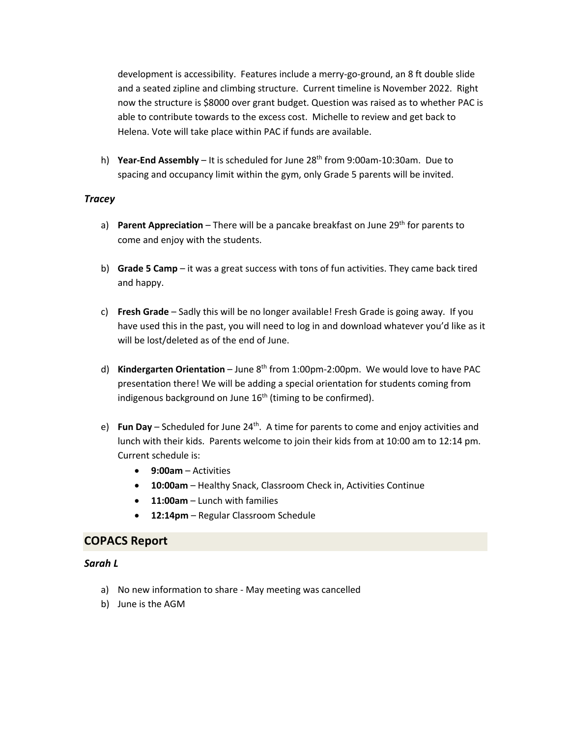development is accessibility. Features include a merry-go-ground, an 8 ft double slide and a seated zipline and climbing structure. Current timeline is November 2022. Right now the structure is \$8000 over grant budget. Question was raised as to whether PAC is able to contribute towards to the excess cost. Michelle to review and get back to Helena. Vote will take place within PAC if funds are available.

h) **Year-End Assembly** – It is scheduled for June 28th from 9:00am-10:30am. Due to spacing and occupancy limit within the gym, only Grade 5 parents will be invited.

#### *Tracey*

- a) **Parent Appreciation** There will be a pancake breakfast on June 29<sup>th</sup> for parents to come and enjoy with the students.
- b) **Grade 5 Camp** it was a great success with tons of fun activities. They came back tired and happy.
- c) **Fresh Grade** Sadly this will be no longer available! Fresh Grade is going away. If you have used this in the past, you will need to log in and download whatever you'd like as it will be lost/deleted as of the end of June.
- d) **Kindergarten Orientation** June 8<sup>th</sup> from 1:00pm-2:00pm. We would love to have PAC presentation there! We will be adding a special orientation for students coming from indigenous background on June  $16<sup>th</sup>$  (timing to be confirmed).
- e) **Fun Day** Scheduled for June 24<sup>th</sup>. A time for parents to come and enjoy activities and lunch with their kids. Parents welcome to join their kids from at 10:00 am to 12:14 pm. Current schedule is:
	- **9:00am**  Activities
	- **10:00am**  Healthy Snack, Classroom Check in, Activities Continue
	- **11:00am** Lunch with families
	- **12:14pm** Regular Classroom Schedule

## **COPACS Report**

#### *Sarah L*

- a) No new information to share May meeting was cancelled
- b) June is the AGM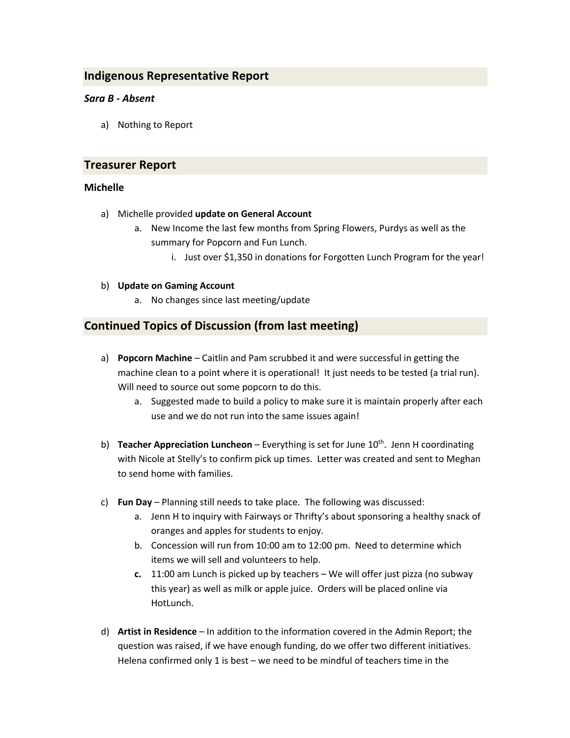## **Indigenous Representative Report**

### *Sara B - Absent*

a) Nothing to Report

#### **Treasurer Report**

#### **Michelle**

- a) Michelle provided **update on General Account**
	- a. New Income the last few months from Spring Flowers, Purdys as well as the summary for Popcorn and Fun Lunch.
		- i. Just over \$1,350 in donations for Forgotten Lunch Program for the year!

#### b) **Update on Gaming Account**

a. No changes since last meeting/update

## **Continued Topics of Discussion (from last meeting)**

- a) **Popcorn Machine**  Caitlin and Pam scrubbed it and were successful in getting the machine clean to a point where it is operational! It just needs to be tested (a trial run). Will need to source out some popcorn to do this.
	- a. Suggested made to build a policy to make sure it is maintain properly after each use and we do not run into the same issues again!
- b) **Teacher Appreciation Luncheon** Everything is set for June 10<sup>th</sup>. Jenn H coordinating with Nicole at Stelly's to confirm pick up times. Letter was created and sent to Meghan to send home with families.
- c) **Fun Day**  Planning still needs to take place. The following was discussed:
	- a. Jenn H to inquiry with Fairways or Thrifty's about sponsoring a healthy snack of oranges and apples for students to enjoy.
	- b. Concession will run from 10:00 am to 12:00 pm. Need to determine which items we will sell and volunteers to help.
	- **c.** 11:00 am Lunch is picked up by teachers We will offer just pizza (no subway this year) as well as milk or apple juice. Orders will be placed online via HotLunch.
- d) **Artist in Residence**  In addition to the information covered in the Admin Report; the question was raised, if we have enough funding, do we offer two different initiatives. Helena confirmed only 1 is best – we need to be mindful of teachers time in the